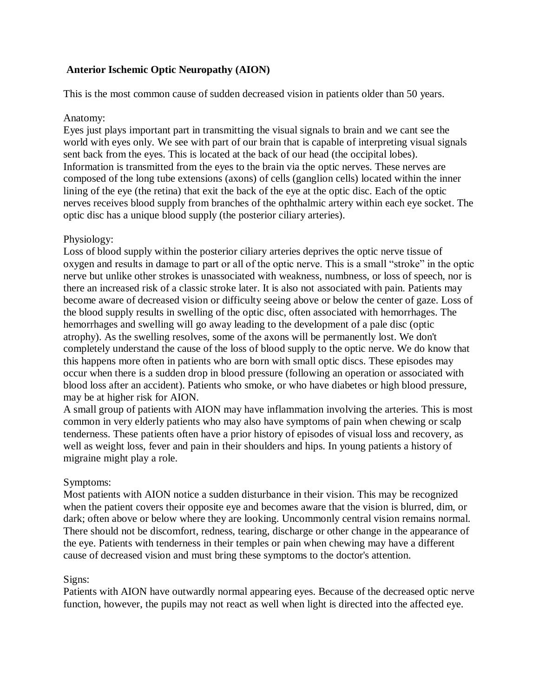# **Anterior Ischemic Optic Neuropathy (AION)**

This is the most common cause of sudden decreased vision in patients older than 50 years.

#### Anatomy:

Eyes just plays important part in transmitting the visual signals to brain and we cant see the world with eyes only. We see with part of our brain that is capable of interpreting visual signals sent back from the eyes. This is located at the back of our head (the occipital lobes). Information is transmitted from the eyes to the brain via the optic nerves. These nerves are composed of the long tube extensions (axons) of cells (ganglion cells) located within the inner lining of the eye (the retina) that exit the back of the eye at the optic disc. Each of the optic nerves receives blood supply from branches of the ophthalmic artery within each eye socket. The optic disc has a unique blood supply (the posterior ciliary arteries).

# Physiology:

Loss of blood supply within the posterior ciliary arteries deprives the optic nerve tissue of oxygen and results in damage to part or all of the optic nerve. This is a small "stroke" in the optic nerve but unlike other strokes is unassociated with weakness, numbness, or loss of speech, nor is there an increased risk of a classic stroke later. It is also not associated with pain. Patients may become aware of decreased vision or difficulty seeing above or below the center of gaze. Loss of the blood supply results in swelling of the optic disc, often associated with hemorrhages. The hemorrhages and swelling will go away leading to the development of a pale disc (optic atrophy). As the swelling resolves, some of the axons will be permanently lost. We don't completely understand the cause of the loss of blood supply to the optic nerve. We do know that this happens more often in patients who are born with small optic discs. These episodes may occur when there is a sudden drop in blood pressure (following an operation or associated with blood loss after an accident). Patients who smoke, or who have diabetes or high blood pressure, may be at higher risk for AION.

A small group of patients with AION may have inflammation involving the arteries. This is most common in very elderly patients who may also have symptoms of pain when chewing or scalp tenderness. These patients often have a prior history of episodes of visual loss and recovery, as well as weight loss, fever and pain in their shoulders and hips. In young patients a history of migraine might play a role.

# Symptoms:

Most patients with AION notice a sudden disturbance in their vision. This may be recognized when the patient covers their opposite eye and becomes aware that the vision is blurred, dim, or dark; often above or below where they are looking. Uncommonly central vision remains normal. There should not be discomfort, redness, tearing, discharge or other change in the appearance of the eye. Patients with tenderness in their temples or pain when chewing may have a different cause of decreased vision and must bring these symptoms to the doctor's attention.

# Signs:

Patients with AION have outwardly normal appearing eyes. Because of the decreased optic nerve function, however, the pupils may not react as well when light is directed into the affected eye.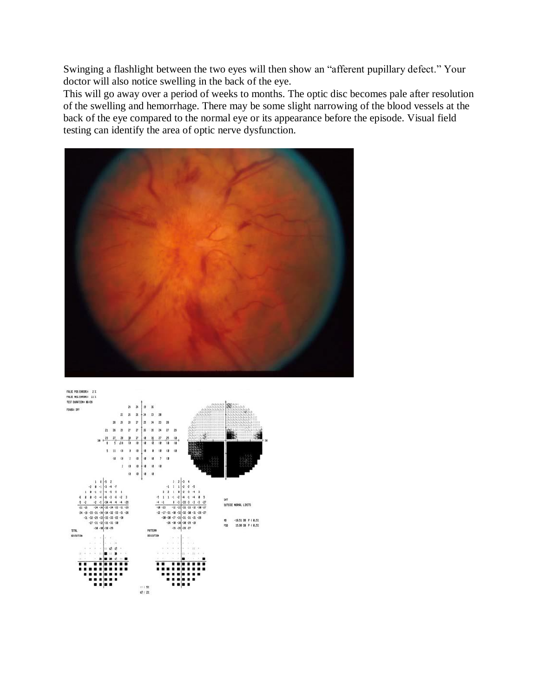Swinging a flashlight between the two eyes will then show an "afferent pupillary defect." Your doctor will also notice swelling in the back of the eye.

This will go away over a period of weeks to months. The optic disc becomes pale after resolution of the swelling and hemorrhage. There may be some slight narrowing of the blood vessels at the back of the eye compared to the normal eye or its appearance before the episode. Visual field testing can identify the area of optic nerve dysfunction.